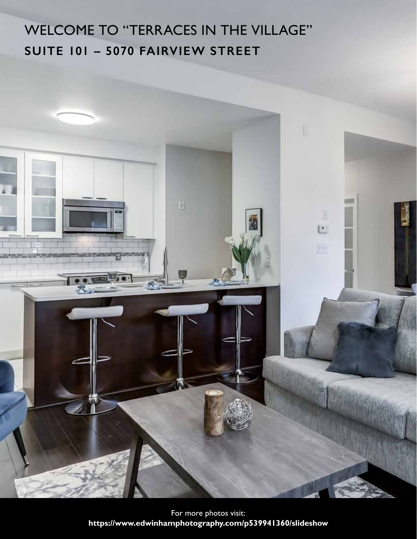# WELCOME TO "TERRACES IN THE VILLAGE" **SUITE 101 – 5070 FAIRVIEW STREET**



For more photos visit: **https://www.edwinhamphotography.com/p539941360/slideshow**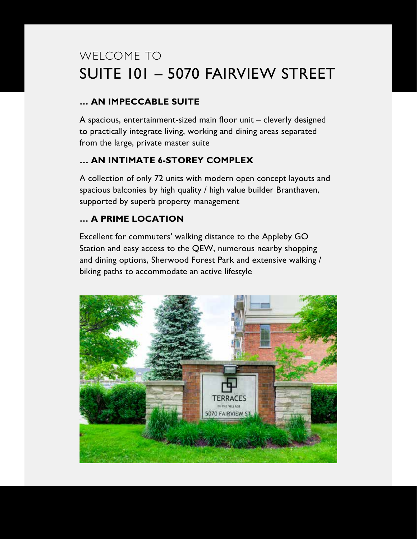## WELCOME TO SUITE 101 – 5070 FAIRVIEW STREET

### **… AN IMPECCABLE SUITE**

A spacious, entertainment-sized main floor unit – cleverly designed to practically integrate living, working and dining areas separated from the large, private master suite

#### **… AN INTIMATE 6-STOREY COMPLEX**

A collection of only 72 units with modern open concept layouts and spacious balconies by high quality / high value builder Branthaven, supported by superb property management

#### **… A PRIME LOCATION**

Excellent for commuters' walking distance to the Appleby GO Station and easy access to the QEW, numerous nearby shopping and dining options, Sherwood Forest Park and extensive walking / biking paths to accommodate an active lifestyle

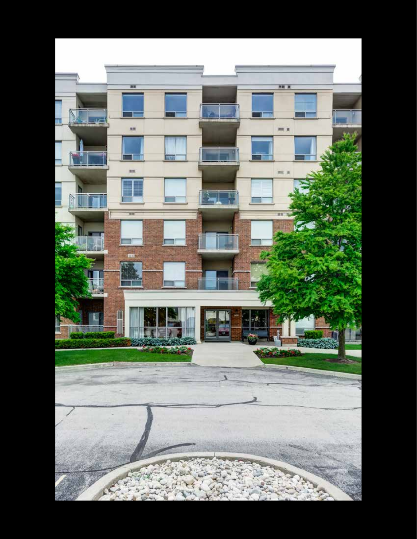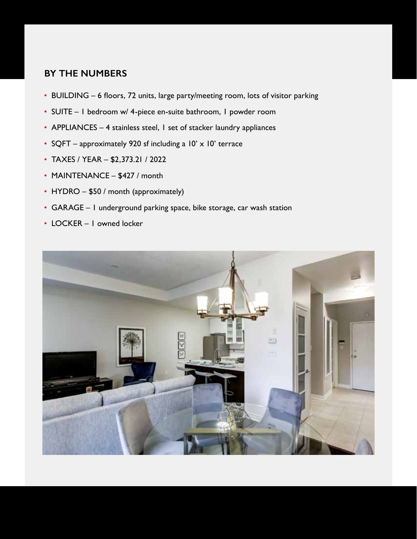#### **BY THE NUMBERS**

- BUILDING 6 floors, 72 units, large party/meeting room, lots of visitor parking
- SUITE 1 bedroom w/ 4-piece en-suite bathroom, 1 powder room
- APPLIANCES 4 stainless steel, 1 set of stacker laundry appliances
- SQFT approximately 920 sf including a 10' x 10' terrace
- TAXES / YEAR \$2,373.21 / 2022
- MAINTENANCE \$427 / month
- HYDRO \$50 / month (approximately)
- GARAGE 1 underground parking space, bike storage, car wash station
- LOCKER 1 owned locker

![](_page_3_Picture_10.jpeg)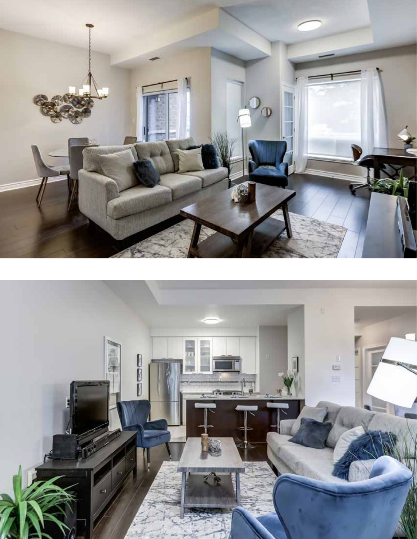![](_page_4_Picture_0.jpeg)

![](_page_4_Picture_1.jpeg)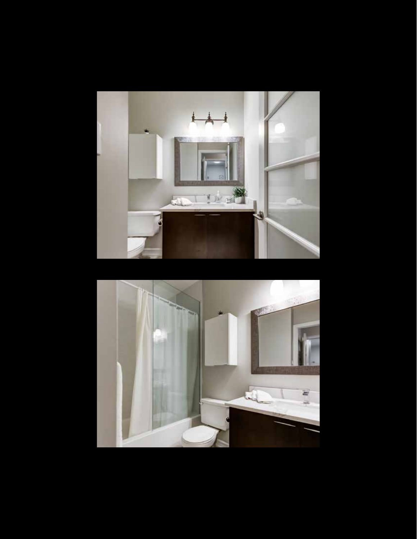![](_page_5_Picture_0.jpeg)

![](_page_5_Picture_1.jpeg)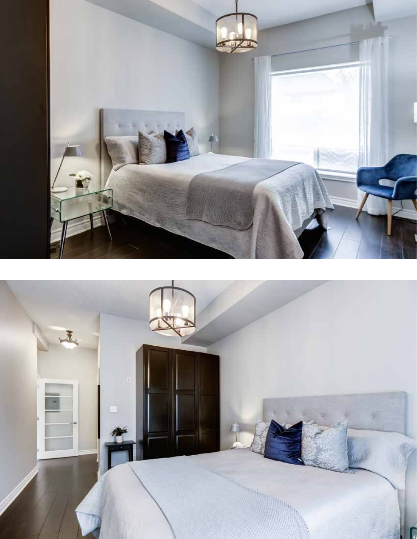![](_page_6_Picture_0.jpeg)

![](_page_6_Picture_1.jpeg)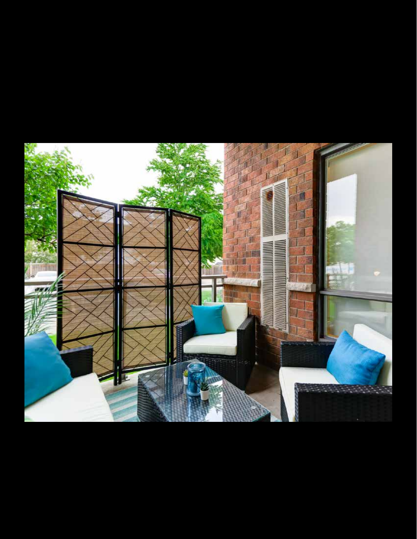![](_page_7_Picture_0.jpeg)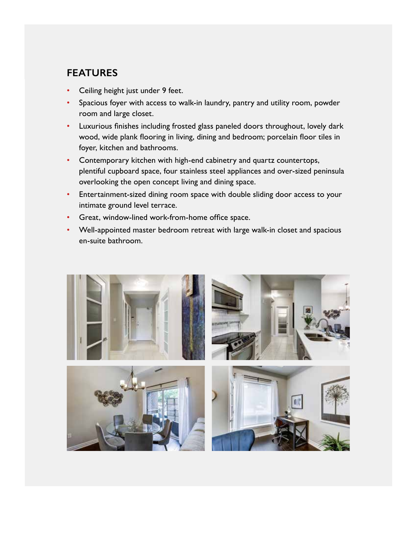### **FEATURES**

- Ceiling height just under 9 feet.
- Spacious foyer with access to walk-in laundry, pantry and utility room, powder room and large closet.
- Luxurious finishes including frosted glass paneled doors throughout, lovely dark wood, wide plank flooring in living, dining and bedroom; porcelain floor tiles in foyer, kitchen and bathrooms.
- Contemporary kitchen with high-end cabinetry and quartz countertops, plentiful cupboard space, four stainless steel appliances and over-sized peninsula overlooking the open concept living and dining space.
- Entertainment-sized dining room space with double sliding door access to your intimate ground level terrace.
- Great, window-lined work-from-home office space.
- Well-appointed master bedroom retreat with large walk-in closet and spacious en-suite bathroom.

![](_page_8_Picture_8.jpeg)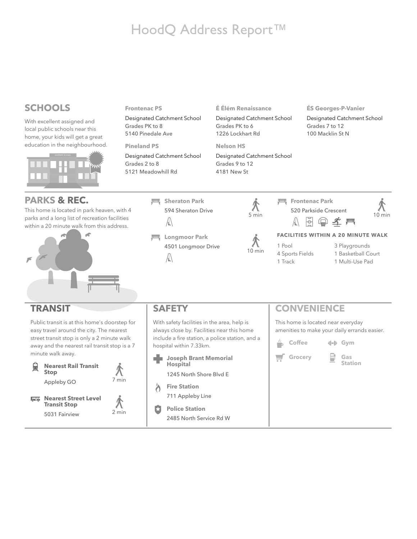## HoodQ Address Report™

## **SCHOOLS**

With excellent assigned and local public schools near this home, your kids will get a great education in the neighbourhood.

![](_page_9_Picture_3.jpeg)

#### **PARKS & REC.**

This home is located in park heaven, with 4 parks and a long list of recreation facilities within a 20 minute walk from this address.

![](_page_9_Picture_6.jpeg)

**Frontenac PS**

Designated Catchment School Grades PK to 8 5140 Pinedale Ave

**Pineland PS**

Designated Catchment School Grades 2 to 8 5121 Meadowhill Rd

**É Élém Renaissance**

Designated Catchment School Grades PK to 6 1226 Lockhart Rd

**Nelson HS**

Designated Catchment School Grades 9 to 12 4181 New St

#### **ÉS Georges-P-Vanier**

Designated Catchment School Grades 7 to 12 100 Macklin St N

#### **Sheraton Park** 594 Sheraton Drive  $\mathbb{R}$

**Longmoor Park** 4501 Longmoor Drive 10 min

![](_page_9_Picture_19.jpeg)

![](_page_9_Picture_20.jpeg)

#### **FACILITIES WITHIN A 20 MINUTE WALK**

1 Pool 4 Sports Fields 1 Track

- 
- 3 Playgrounds 1 Basketball Court

10 min

1 Multi-Use Pad

#### **TRANSIT**

Public transit is at this home's doorstep for easy travel around the city. The nearest street transit stop is only a 2 minute walk away and the nearest rail transit stop is a 7 minute walk away.

![](_page_9_Figure_28.jpeg)

#### **SAFETY**

With safety facilities in the area, help is always close by. Facilities near this home include a fire station, a police station, and a hospital within 7.33km.

![](_page_9_Picture_31.jpeg)

### **CONVENIENCE**

This home is located near everyday amenities to make your daily errands easier.

Coffee **disk** Gym

**Grocery Gas Station**